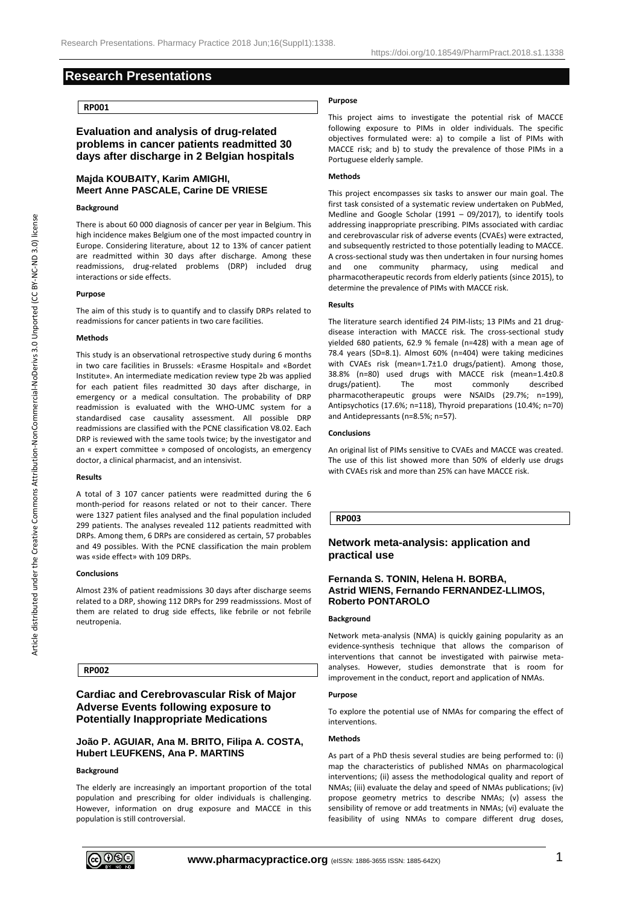# **Research Presentations**

## **RP001**

# **Evaluation and analysis of drug-related problems in cancer patients readmitted 30 days after discharge in 2 Belgian hospitals**

# **Majda KOUBAITY, Karim AMIGHI, Meert Anne PASCALE, Carine DE VRIESE**

## **Background**

There is about 60 000 diagnosis of cancer per year in Belgium. This high incidence makes Belgium one of the most impacted country in Europe. Considering literature, about 12 to 13% of cancer patient are readmitted within 30 days after discharge. Among these readmissions, drug-related problems (DRP) included drug interactions or side effects.

#### **Purpose**

The aim of this study is to quantify and to classify DRPs related to readmissions for cancer patients in two care facilities.

#### **Methods**

This study is an observational retrospective study during 6 months in two care facilities in Brussels: «Erasme Hospital» and «Bordet Institute». An intermediate medication review type 2b was applied for each patient files readmitted 30 days after discharge, in emergency or a medical consultation. The probability of DRP readmission is evaluated with the WHO-UMC system for a standardised case causality assessment. All possible DRP readmissions are classified with the PCNE classification V8.02. Each DRP is reviewed with the same tools twice; by the investigator and an « expert committee » composed of oncologists, an emergency doctor, a clinical pharmacist, and an intensivist.

### **Results**

A total of 3 107 cancer patients were readmitted during the 6 month-period for reasons related or not to their cancer. There were 1327 patient files analysed and the final population included 299 patients. The analyses revealed 112 patients readmitted with DRPs. Among them, 6 DRPs are considered as certain, 57 probables and 49 possibles. With the PCNE classification the main problem was «side effect» with 109 DRPs.

## **Conclusions**

Almost 23% of patient readmissions 30 days after discharge seems related to a DRP, showing 112 DRPs for 299 readmisssions. Most of them are related to drug side effects, like febrile or not febrile neutropenia.

### **RP002**

# **Cardiac and Cerebrovascular Risk of Major Adverse Events following exposure to Potentially Inappropriate Medications**

# **João P. AGUIAR, Ana M. BRITO, Filipa A. COSTA, Hubert LEUFKENS, Ana P. MARTINS**

# **Background**

The elderly are increasingly an important proportion of the total population and prescribing for older individuals is challenging. However, information on drug exposure and MACCE in this population is still controversial.

### **Purpose**

This project aims to investigate the potential risk of MACCE following exposure to PIMs in older individuals. The specific objectives formulated were: a) to compile a list of PIMs with MACCE risk; and b) to study the prevalence of those PIMs in a Portuguese elderly sample.

### **Methods**

This project encompasses six tasks to answer our main goal. The first task consisted of a systematic review undertaken on PubMed, Medline and Google Scholar (1991 – 09/2017), to identify tools addressing inappropriate prescribing. PIMs associated with cardiac and cerebrovascular risk of adverse events (CVAEs) were extracted, and subsequently restricted to those potentially leading to MACCE. A cross-sectional study was then undertaken in four nursing homes and one community pharmacy, using medical and pharmacotherapeutic records from elderly patients (since 2015), to determine the prevalence of PIMs with MACCE risk.

#### **Results**

The literature search identified 24 PIM-lists; 13 PIMs and 21 drugdisease interaction with MACCE risk. The cross-sectional study yielded 680 patients, 62.9 % female (n=428) with a mean age of 78.4 years (SD=8.1). Almost 60% (n=404) were taking medicines with CVAEs risk (mean=1.7±1.0 drugs/patient). Among those, 38.8% (n=80) used drugs with MACCE risk (mean=1.4±0.8 drugs/patient). The most commonly described pharmacotherapeutic groups were NSAIDs (29.7%; n=199), Antipsychotics (17.6%; n=118), Thyroid preparations (10.4%; n=70) and Antidepressants (n=8.5%; n=57).

#### **Conclusions**

An original list of PIMs sensitive to CVAEs and MACCE was created. The use of this list showed more than 50% of elderly use drugs with CVAEs risk and more than 25% can have MACCE risk.

## **RP003**

# **Network meta-analysis: application and practical use**

## **Fernanda S. TONIN, Helena H. BORBA, Astrid WIENS, Fernando FERNANDEZ-LLIMOS, Roberto PONTAROLO**

## **Background**

Network meta-analysis (NMA) is quickly gaining popularity as an evidence-synthesis technique that allows the comparison of interventions that cannot be investigated with pairwise metaanalyses. However, studies demonstrate that is room for improvement in the conduct, report and application of NMAs.

#### **Purpose**

To explore the potential use of NMAs for comparing the effect of interventions.

## **Methods**

As part of a PhD thesis several studies are being performed to: (i) map the characteristics of published NMAs on pharmacological interventions; (ii) assess the methodological quality and report of NMAs; (iii) evaluate the delay and speed of NMAs publications; (iv) propose geometry metrics to describe NMAs; (v) assess the sensibility of remove or add treatments in NMAs; (vi) evaluate the feasibility of using NMAs to compare different drug doses,



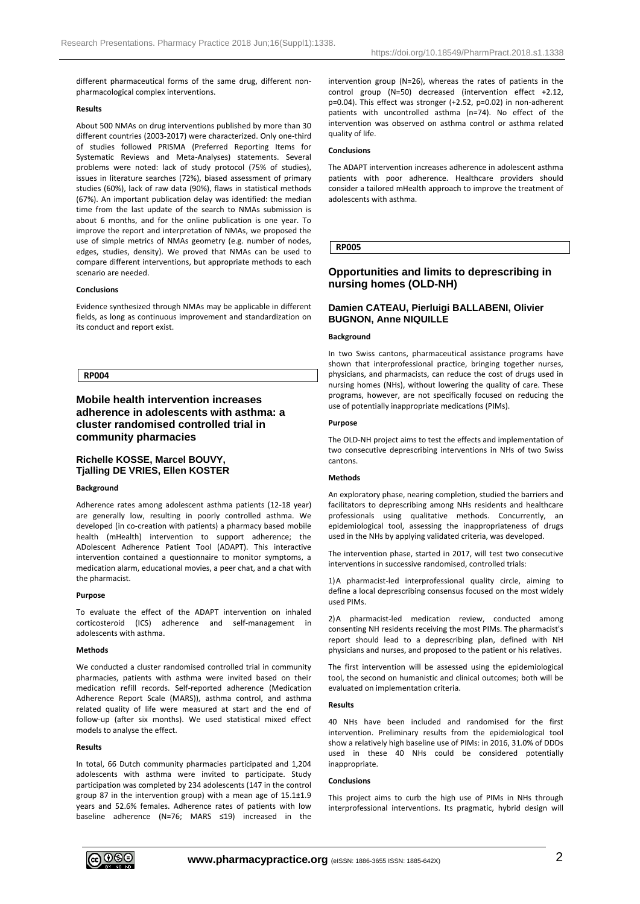different pharmaceutical forms of the same drug, different nonpharmacological complex interventions.

### **Results**

About 500 NMAs on drug interventions published by more than 30 different countries (2003-2017) were characterized. Only one-third of studies followed PRISMA (Preferred Reporting Items for Systematic Reviews and Meta-Analyses) statements. Several problems were noted: lack of study protocol (75% of studies), issues in literature searches (72%), biased assessment of primary studies (60%), lack of raw data (90%), flaws in statistical methods (67%). An important publication delay was identified: the median time from the last update of the search to NMAs submission is about 6 months, and for the online publication is one year. To improve the report and interpretation of NMAs, we proposed the use of simple metrics of NMAs geometry (e.g. number of nodes, edges, studies, density). We proved that NMAs can be used to compare different interventions, but appropriate methods to each scenario are needed.

#### **Conclusions**

Evidence synthesized through NMAs may be applicable in different fields, as long as continuous improvement and standardization on its conduct and report exist.

**RP004**

# **Mobile health intervention increases adherence in adolescents with asthma: a cluster randomised controlled trial in community pharmacies**

# **Richelle KOSSE, Marcel BOUVY, Tjalling DE VRIES, Ellen KOSTER**

### **Background**

Adherence rates among adolescent asthma patients (12-18 year) are generally low, resulting in poorly controlled asthma. We developed (in co-creation with patients) a pharmacy based mobile health (mHealth) intervention to support adherence; the ADolescent Adherence Patient Tool (ADAPT). This interactive intervention contained a questionnaire to monitor symptoms, a medication alarm, educational movies, a peer chat, and a chat with the pharmacist.

#### **Purpose**

To evaluate the effect of the ADAPT intervention on inhaled corticosteroid (ICS) adherence and self-management in adolescents with asthma.

### **Methods**

We conducted a cluster randomised controlled trial in community pharmacies, patients with asthma were invited based on their medication refill records. Self-reported adherence (Medication Adherence Report Scale (MARS)), asthma control, and asthma related quality of life were measured at start and the end of follow-up (after six months). We used statistical mixed effect models to analyse the effect.

### **Results**

In total, 66 Dutch community pharmacies participated and 1,204 adolescents with asthma were invited to participate. Study participation was completed by 234 adolescents (147 in the control group 87 in the intervention group) with a mean age of 15.1±1.9 years and 52.6% females. Adherence rates of patients with low baseline adherence (N=76; MARS ≤19) increased in the intervention group (N=26), whereas the rates of patients in the control group (N=50) decreased (intervention effect +2.12, p=0.04). This effect was stronger (+2.52, p=0.02) in non-adherent patients with uncontrolled asthma (n=74). No effect of the intervention was observed on asthma control or asthma related quality of life.

## **Conclusions**

The ADAPT intervention increases adherence in adolescent asthma patients with poor adherence. Healthcare providers should consider a tailored mHealth approach to improve the treatment of adolescents with asthma.

## **RP005**

# **Opportunities and limits to deprescribing in nursing homes (OLD-NH)**

# **Damien CATEAU, Pierluigi BALLABENI, Olivier BUGNON, Anne NIQUILLE**

## **Background**

In two Swiss cantons, pharmaceutical assistance programs have shown that interprofessional practice, bringing together nurses, physicians, and pharmacists, can reduce the cost of drugs used in nursing homes (NHs), without lowering the quality of care. These programs, however, are not specifically focused on reducing the use of potentially inappropriate medications (PIMs).

#### **Purpose**

The OLD-NH project aims to test the effects and implementation of two consecutive deprescribing interventions in NHs of two Swiss cantons.

### **Methods**

An exploratory phase, nearing completion, studied the barriers and facilitators to deprescribing among NHs residents and healthcare professionals using qualitative methods. Concurrently, an epidemiological tool, assessing the inappropriateness of drugs used in the NHs by applying validated criteria, was developed.

The intervention phase, started in 2017, will test two consecutive interventions in successive randomised, controlled trials:

1)A pharmacist-led interprofessional quality circle, aiming to define a local deprescribing consensus focused on the most widely used PIMs.

2)A pharmacist-led medication review, conducted among consenting NH residents receiving the most PIMs. The pharmacist's report should lead to a deprescribing plan, defined with NH physicians and nurses, and proposed to the patient or his relatives.

The first intervention will be assessed using the epidemiological tool, the second on humanistic and clinical outcomes; both will be evaluated on implementation criteria.

#### **Results**

40 NHs have been included and randomised for the first intervention. Preliminary results from the epidemiological tool show a relatively high baseline use of PIMs: in 2016, 31.0% of DDDs used in these 40 NHs could be considered potentially inappropriate.

#### **Conclusions**

This project aims to curb the high use of PIMs in NHs through interprofessional interventions. Its pragmatic, hybrid design will

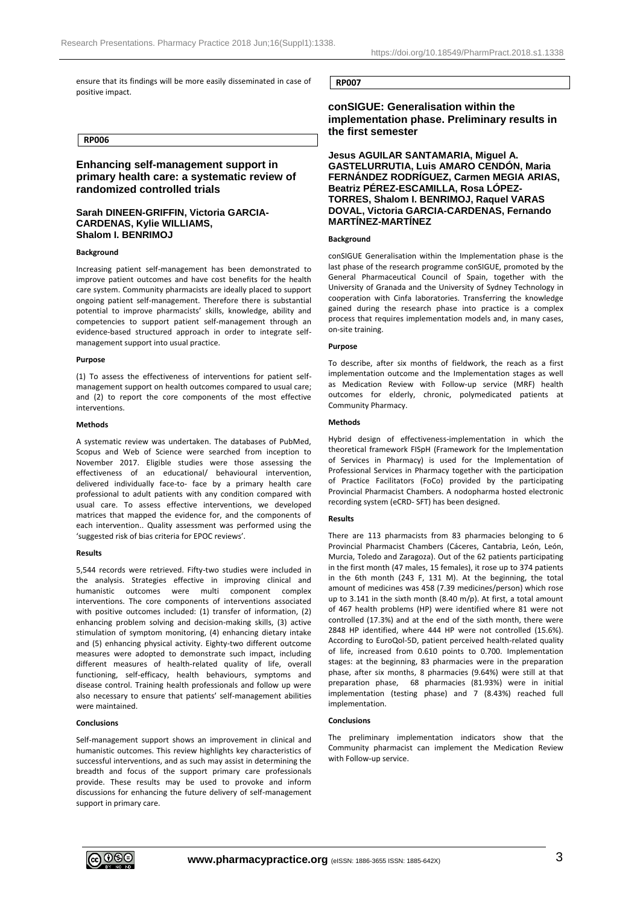ensure that its findings will be more easily disseminated in case of positive impact.

### **RP006**

# **Enhancing self-management support in primary health care: a systematic review of randomized controlled trials**

## **Sarah DINEEN-GRIFFIN, Victoria GARCIA-CARDENAS, Kylie WILLIAMS, Shalom I. BENRIMOJ**

### **Background**

Increasing patient self-management has been demonstrated to improve patient outcomes and have cost benefits for the health care system. Community pharmacists are ideally placed to support ongoing patient self-management. Therefore there is substantial potential to improve pharmacists' skills, knowledge, ability and competencies to support patient self-management through an evidence-based structured approach in order to integrate selfmanagement support into usual practice.

### **Purpose**

(1) To assess the effectiveness of interventions for patient selfmanagement support on health outcomes compared to usual care; and (2) to report the core components of the most effective interventions.

### **Methods**

A systematic review was undertaken. The databases of PubMed, Scopus and Web of Science were searched from inception to November 2017. Eligible studies were those assessing the effectiveness of an educational/ behavioural intervention, delivered individually face-to- face by a primary health care professional to adult patients with any condition compared with usual care. To assess effective interventions, we developed matrices that mapped the evidence for, and the components of each intervention.. Quality assessment was performed using the 'suggested risk of bias criteria for EPOC reviews'.

#### **Results**

5,544 records were retrieved. Fifty-two studies were included in the analysis. Strategies effective in improving clinical and humanistic outcomes were multi component complex interventions. The core components of interventions associated with positive outcomes included: (1) transfer of information, (2) enhancing problem solving and decision-making skills, (3) active stimulation of symptom monitoring, (4) enhancing dietary intake and (5) enhancing physical activity. Eighty-two different outcome measures were adopted to demonstrate such impact, including different measures of health-related quality of life, overall functioning, self-efficacy, health behaviours, symptoms and disease control. Training health professionals and follow up were also necessary to ensure that patients' self-management abilities were maintained.

### **Conclusions**

Self-management support shows an improvement in clinical and humanistic outcomes. This review highlights key characteristics of successful interventions, and as such may assist in determining the breadth and focus of the support primary care professionals provide. These results may be used to provoke and inform discussions for enhancing the future delivery of self-management support in primary care.

**RP007**

**conSIGUE: Generalisation within the implementation phase. Preliminary results in the first semester**

**Jesus AGUILAR SANTAMARIA, Miguel A. GASTELURRUTIA, Luis AMARO CENDÓN, Maria FERNÁNDEZ RODRÍGUEZ, Carmen MEGIA ARIAS, Beatriz PÉREZ-ESCAMILLA, Rosa LÓPEZ-TORRES, Shalom I. BENRIMOJ, Raquel VARAS DOVAL, Victoria GARCIA-CARDENAS, Fernando MARTÍNEZ-MARTÍNEZ**

#### **Background**

conSIGUE Generalisation within the Implementation phase is the last phase of the research programme conSIGUE, promoted by the General Pharmaceutical Council of Spain, together with the University of Granada and the University of Sydney Technology in cooperation with Cinfa laboratories. Transferring the knowledge gained during the research phase into practice is a complex process that requires implementation models and, in many cases, on-site training.

### **Purpose**

To describe, after six months of fieldwork, the reach as a first implementation outcome and the Implementation stages as well as Medication Review with Follow-up service (MRF) health outcomes for elderly, chronic, polymedicated patients at Community Pharmacy.

### **Methods**

Hybrid design of effectiveness-implementation in which the theoretical framework FISpH (Framework for the Implementation of Services in Pharmacy) is used for the Implementation of Professional Services in Pharmacy together with the participation of Practice Facilitators (FoCo) provided by the participating Provincial Pharmacist Chambers. A nodopharma hosted electronic recording system (eCRD- SFT) has been designed.

### **Results**

There are 113 pharmacists from 83 pharmacies belonging to 6 Provincial Pharmacist Chambers (Cáceres, Cantabria, León, León, Murcia, Toledo and Zaragoza). Out of the 62 patients participating in the first month (47 males, 15 females), it rose up to 374 patients in the 6th month (243 F, 131 M). At the beginning, the total amount of medicines was 458 (7.39 medicines/person) which rose up to 3.141 in the sixth month (8.40 m/p). At first, a total amount of 467 health problems (HP) were identified where 81 were not controlled (17.3%) and at the end of the sixth month, there were 2848 HP identified, where 444 HP were not controlled (15.6%). According to EuroQol-5D, patient perceived health-related quality of life, increased from 0.610 points to 0.700. Implementation stages: at the beginning, 83 pharmacies were in the preparation phase, after six months, 8 pharmacies (9.64%) were still at that preparation phase, 68 pharmacies (81.93%) were in initial implementation (testing phase) and 7 (8.43%) reached full implementation.

#### **Conclusions**

The preliminary implementation indicators show that the Community pharmacist can implement the Medication Review with Follow-up service.